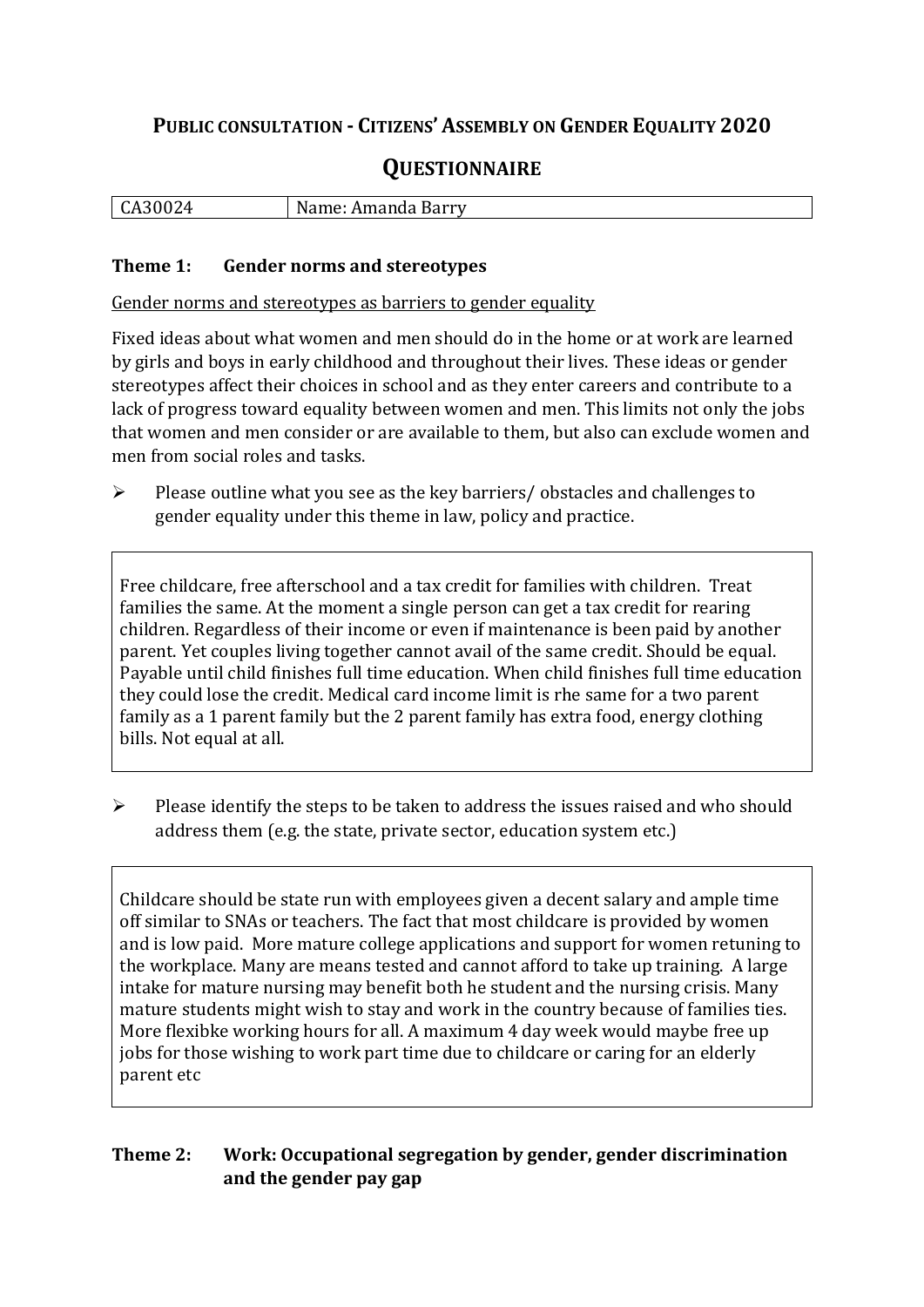## **PUBLIC CONSULTATION - CITIZENS' ASSEMBLY ON GENDER EQUALITY 2020**

# **QUESTIONNAIRE**

| ,,,      | N                          |
|----------|----------------------------|
| $\ldots$ | . Barry                    |
| -        | $\cdots$ $\cdots$ $\cdots$ |
| ື້       | - Amanua '                 |
|          |                            |

#### **Theme 1: Gender norms and stereotypes**

Gender norms and stereotypes as barriers to gender equality

Fixed ideas about what women and men should do in the home or at work are learned by girls and boys in early childhood and throughout their lives. These ideas or gender stereotypes affect their choices in school and as they enter careers and contribute to a lack of progress toward equality between women and men. This limits not only the jobs that women and men consider or are available to them, but also can exclude women and men from social roles and tasks.

➢ Please outline what you see as the key barriers/ obstacles and challenges to gender equality under this theme in law, policy and practice.

Free childcare, free afterschool and a tax credit for families with children. Treat families the same. At the moment a single person can get a tax credit for rearing children. Regardless of their income or even if maintenance is been paid by another parent. Yet couples living together cannot avail of the same credit. Should be equal. Payable until child finishes full time education. When child finishes full time education they could lose the credit. Medical card income limit is rhe same for a two parent family as a 1 parent family but the 2 parent family has extra food, energy clothing bills. Not equal at all.

➢ Please identify the steps to be taken to address the issues raised and who should address them (e.g. the state, private sector, education system etc.)

Childcare should be state run with employees given a decent salary and ample time off similar to SNAs or teachers. The fact that most childcare is provided by women and is low paid. More mature college applications and support for women retuning to the workplace. Many are means tested and cannot afford to take up training. A large intake for mature nursing may benefit both he student and the nursing crisis. Many mature students might wish to stay and work in the country because of families ties. More flexibke working hours for all. A maximum 4 day week would maybe free up jobs for those wishing to work part time due to childcare or caring for an elderly parent etc

#### **Theme 2: Work: Occupational segregation by gender, gender discrimination and the gender pay gap**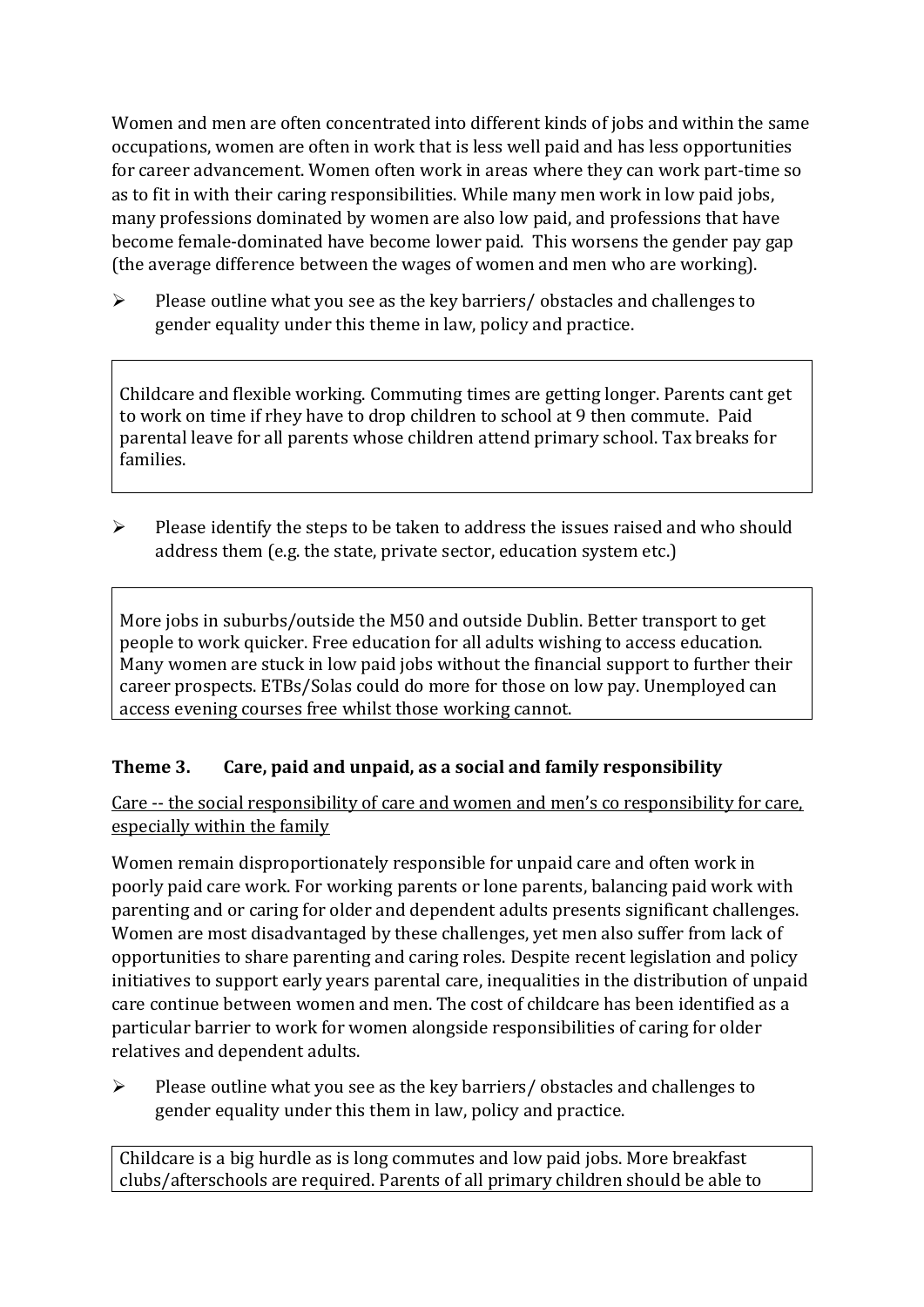Women and men are often concentrated into different kinds of jobs and within the same occupations, women are often in work that is less well paid and has less opportunities for career advancement. Women often work in areas where they can work part-time so as to fit in with their caring responsibilities. While many men work in low paid jobs, many professions dominated by women are also low paid, and professions that have become female-dominated have become lower paid. This worsens the gender pay gap (the average difference between the wages of women and men who are working).

➢ Please outline what you see as the key barriers/ obstacles and challenges to gender equality under this theme in law, policy and practice.

Childcare and flexible working. Commuting times are getting longer. Parents cant get to work on time if rhey have to drop children to school at 9 then commute. Paid parental leave for all parents whose children attend primary school. Tax breaks for families.

➢ Please identify the steps to be taken to address the issues raised and who should address them (e.g. the state, private sector, education system etc.)

More jobs in suburbs/outside the M50 and outside Dublin. Better transport to get people to work quicker. Free education for all adults wishing to access education. Many women are stuck in low paid jobs without the financial support to further their career prospects. ETBs/Solas could do more for those on low pay. Unemployed can access evening courses free whilst those working cannot.

### **Theme 3. Care, paid and unpaid, as a social and family responsibility**

Care -- the social responsibility of care and women and men's co responsibility for care, especially within the family

Women remain disproportionately responsible for unpaid care and often work in poorly paid care work. For working parents or [lone parents,](https://aran.library.nuigalway.ie/bitstream/handle/10379/6044/Millar_and_Crosse_Activation_Report.pdf?sequence=1&isAllowed=y) balancing paid work with parenting and or caring for older and dependent adults presents significant challenges. Women are [most disadvantaged by these challenges,](https://eige.europa.eu/gender-equality-index/game/IE/W) yet men also suffer from lack of opportunities to share parenting and caring roles. Despite recent legislation and policy initiatives to support early years parental care, [inequalities in the distribution of unpaid](https://www.ihrec.ie/app/uploads/2019/07/Caring-and-Unpaid-Work-in-Ireland_Final.pdf)  [care](https://www.ihrec.ie/app/uploads/2019/07/Caring-and-Unpaid-Work-in-Ireland_Final.pdf) continue between women and men. The cost of childcare has been identified as a particular barrier to work for women alongside responsibilities of caring for older relatives and dependent adults.

➢ Please outline what you see as the key barriers/ obstacles and challenges to gender equality under this them in law, policy and practice.

Childcare is a big hurdle as is long commutes and low paid jobs. More breakfast clubs/afterschools are required. Parents of all primary children should be able to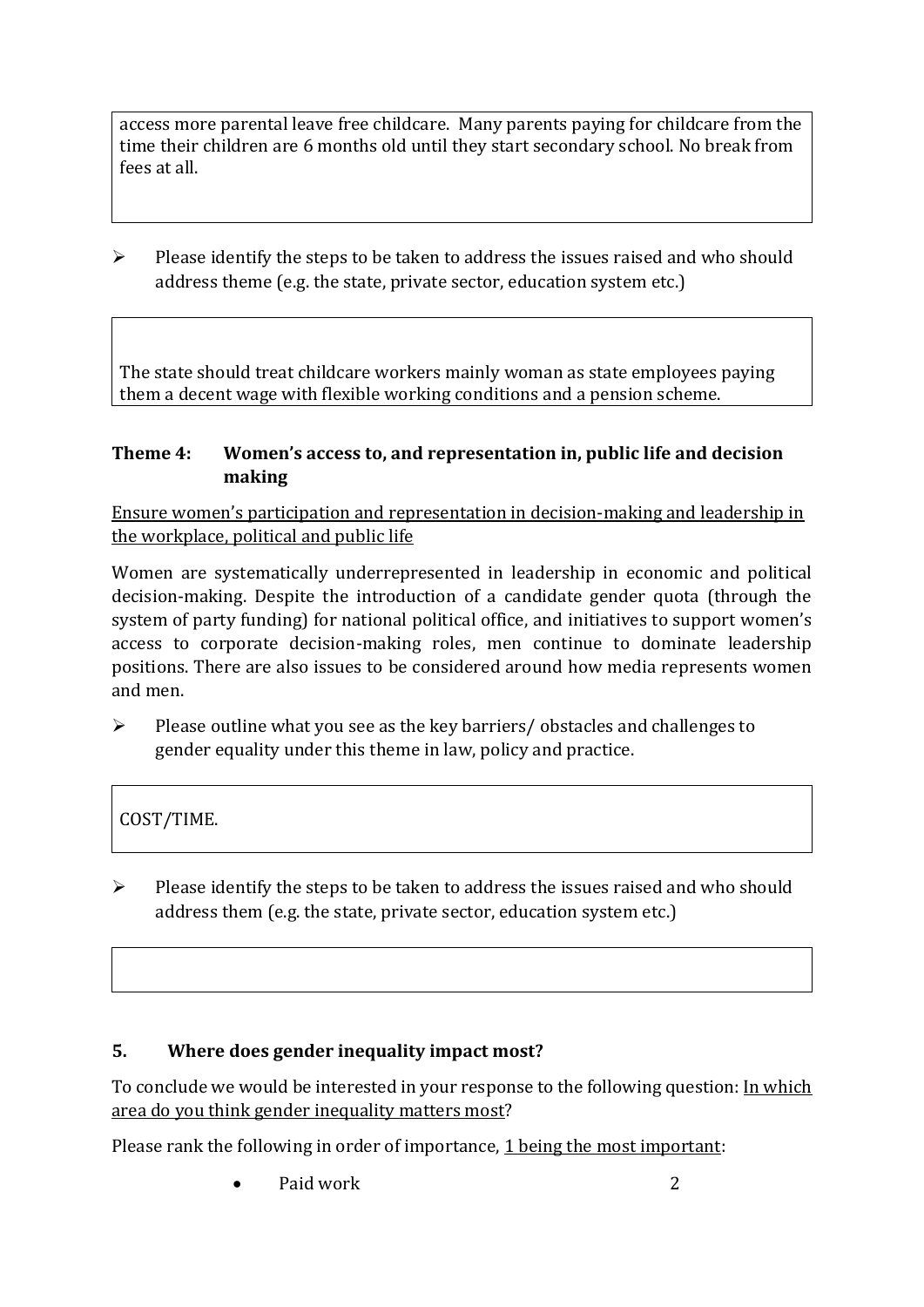access more parental leave free childcare. Many parents paying for childcare from the time their children are 6 months old until they start secondary school. No break from fees at all.

➢ Please identify the steps to be taken to address the issues raised and who should address theme (e.g. the state, private sector, education system etc.)

The state should treat childcare workers mainly woman as state employees paying them a decent wage with flexible working conditions and a pension scheme.

#### **Theme 4: Women's access to, and representation in, public life and decision making**

Ensure women's participation and representation in decision-making and leadership in the workplace, political and public life

Women are systematically underrepresented in leadership in [economic](https://eige.europa.eu/gender-equality-index/2019/compare-countries/power/2/bar) and [political](https://eige.europa.eu/gender-equality-index/2019/compare-countries/power/1/bar)  [decision-](https://eige.europa.eu/gender-equality-index/2019/compare-countries/power/1/bar)making. Despite the introduction of a candidate gender quota (through the system of party funding) for national political office, and [initiatives](https://betterbalance.ie/) to support women's access to corporate decision-making roles, men continue to dominate leadership positions. There are also issues to be considered around how media represents women and men.

 $\triangleright$  Please outline what you see as the key barriers/ obstacles and challenges to gender equality under this theme in law, policy and practice.

COST/TIME.

 $\triangleright$  Please identify the steps to be taken to address the issues raised and who should address them (e.g. the state, private sector, education system etc.)

### **5. Where does gender inequality impact most?**

To conclude we would be interested in your response to the following question: In which area do you think gender inequality matters most?

Please rank the following in order of importance, 1 being the most important:

**Paid work** 2